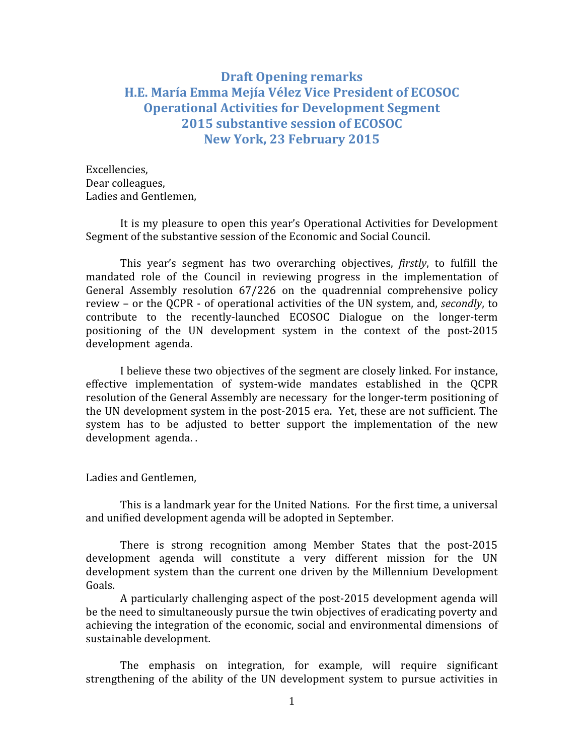## Draft Opening remarks H.E. María Emma Mejía Vélez Vice President of ECOSOC Operational Activities for Development Segment 2015 substantive session of ECOSOC New York, 23 February 2015

Excellencies, Dear colleagues, Ladies and Gentlemen,

It is my pleasure to open this year's Operational Activities for Development Segment of the substantive session of the Economic and Social Council.

This year's segment has two overarching objectives, firstly, to fulfill the mandated role of the Council in reviewing progress in the implementation of General Assembly resolution 67/226 on the quadrennial comprehensive policy review – or the QCPR - of operational activities of the UN system, and, secondly, to contribute to the recently-launched ECOSOC Dialogue on the longer-term positioning of the UN development system in the context of the post-2015 development agenda.

I believe these two objectives of the segment are closely linked. For instance, effective implementation of system-wide mandates established in the QCPR resolution of the General Assembly are necessary for the longer-term positioning of the UN development system in the post-2015 era. Yet, these are not sufficient. The system has to be adjusted to better support the implementation of the new development agenda. .

Ladies and Gentlemen,

This is a landmark year for the United Nations. For the first time, a universal and unified development agenda will be adopted in September.

There is strong recognition among Member States that the post-2015 development agenda will constitute a very different mission for the UN development system than the current one driven by the Millennium Development Goals.

A particularly challenging aspect of the post-2015 development agenda will be the need to simultaneously pursue the twin objectives of eradicating poverty and achieving the integration of the economic, social and environmental dimensions of sustainable development.

The emphasis on integration, for example, will require significant strengthening of the ability of the UN development system to pursue activities in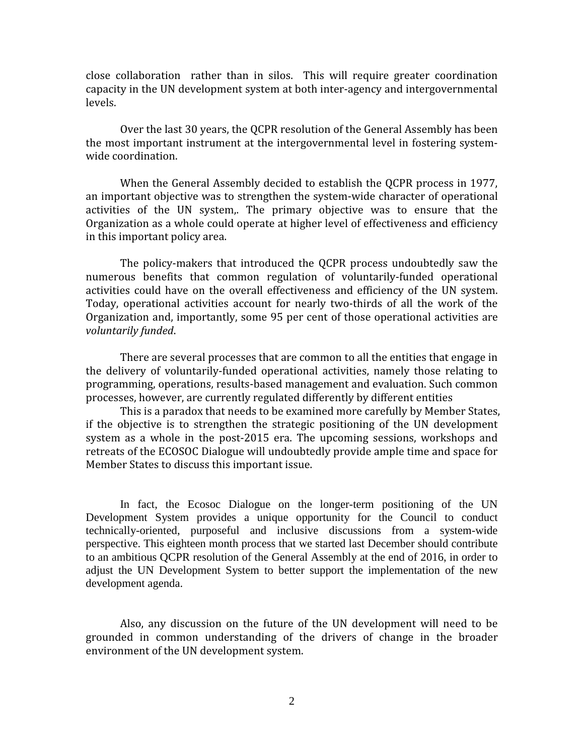close collaboration rather than in silos. This will require greater coordination capacity in the UN development system at both inter-agency and intergovernmental levels.

Over the last 30 years, the QCPR resolution of the General Assembly has been the most important instrument at the intergovernmental level in fostering systemwide coordination.

When the General Assembly decided to establish the QCPR process in 1977, an important objective was to strengthen the system-wide character of operational activities of the UN system,. The primary objective was to ensure that the Organization as a whole could operate at higher level of effectiveness and efficiency in this important policy area.

The policy-makers that introduced the QCPR process undoubtedly saw the numerous benefits that common regulation of voluntarily-funded operational activities could have on the overall effectiveness and efficiency of the UN system. Today, operational activities account for nearly two-thirds of all the work of the Organization and, importantly, some 95 per cent of those operational activities are voluntarily funded.

There are several processes that are common to all the entities that engage in the delivery of voluntarily-funded operational activities, namely those relating to programming, operations, results-based management and evaluation. Such common processes, however, are currently regulated differently by different entities

This is a paradox that needs to be examined more carefully by Member States, if the objective is to strengthen the strategic positioning of the UN development system as a whole in the post-2015 era. The upcoming sessions, workshops and retreats of the ECOSOC Dialogue will undoubtedly provide ample time and space for Member States to discuss this important issue.

In fact, the Ecosoc Dialogue on the longer-term positioning of the UN Development System provides a unique opportunity for the Council to conduct technically-oriented, purposeful and inclusive discussions from a system-wide perspective. This eighteen month process that we started last December should contribute to an ambitious QCPR resolution of the General Assembly at the end of 2016, in order to adjust the UN Development System to better support the implementation of the new development agenda.

Also, any discussion on the future of the UN development will need to be grounded in common understanding of the drivers of change in the broader environment of the UN development system.